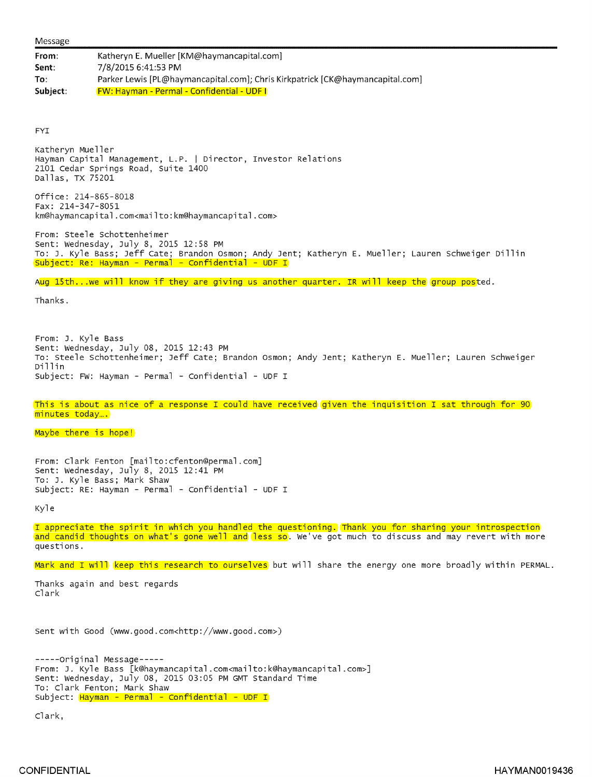<sup>F</sup>rom: Katheryn E. Mueller [KM@haymancapital.com] Sent: 7/8/2015 6:41:53 PM <sup>T</sup>o: Parker Lewis [PL@haymancapital.com]; Chris Kirkpatrick [CK@haymancapital.com] Subject: FW: Hayman - Permal - Confidential - UDF I

FYI

Katheryn Mueller Hayman Capital Management, L.P. | Director, Investor Relations 2101 Cedar Springs Road, Suite 1400 Dallas, TX 75201

Office: 214-865-8018 Fax: 214-347-8051 km@haymancapital.com<mailto:km@haymancapital.com>

From: Steele Schottenheimer Sent: Wednesday, July 8, 2015 12:58 PM <sup>T</sup>o: J. Kyle Bass; Jeff Cate; Brandon Osman; Andy lent; Katheryn E. Mueller; Lauren Schweiger Dillin Subject: Re: Hayman - Permal - confidential - UDF <sup>I</sup>

Aug 15th...we will know if they are giving us another quarter. IR will keep the group posted.

Thanks.

From: J. Kyle Bass Sent: Wednesday, July 08, 2015 12:43 PM <sup>T</sup>o: Steele Schottenheimer; Jeff Cate; Brandon Osmon; Andy Jent; Katheryn E. Mueller; Lauren Schweiger Dillin Subject: FW: Hayman - Permal - Confidential - UDF I

This is about as nice of a response I could have received given the inquisition I sat through for 90 <sup>m</sup>inutes today....

## Maybe there is hope!

<sup>F</sup>rom: Clark Fenton [mailto:cfenton@permal.com] Sent: Wednesday, July 8, 2015 12:41 PM To: J. Kyle Bass; Mark Shaw Subject: RE: Hayman - Permal - Confidential - UDF I

Kyle

<sup>I</sup> appreciate the spirit in which you handled the questioning. Thank you for sharing your introspection and candid thoughts on what's gone well and less so. We've got much to discuss and may revert with more questions.

Mark and I will keep this research to ourselves but will share the energy one more broadly within PERMAL.

<sup>T</sup>hanks again and best regards Clark

Sent with Good (www.good.com<http://www.good.com>)

```
---Original Message---From: J. Kyle Bass [k@haymancapital .com<mailto:k@haymancapital.com>]
Sent: Wednesday, July 08, 2015 03:05 PM GMT Standard Time
To: Clark Fenton; Mark Shaw
Subject: Hayman - Permal - Confidential - UDF I
```
Clark,